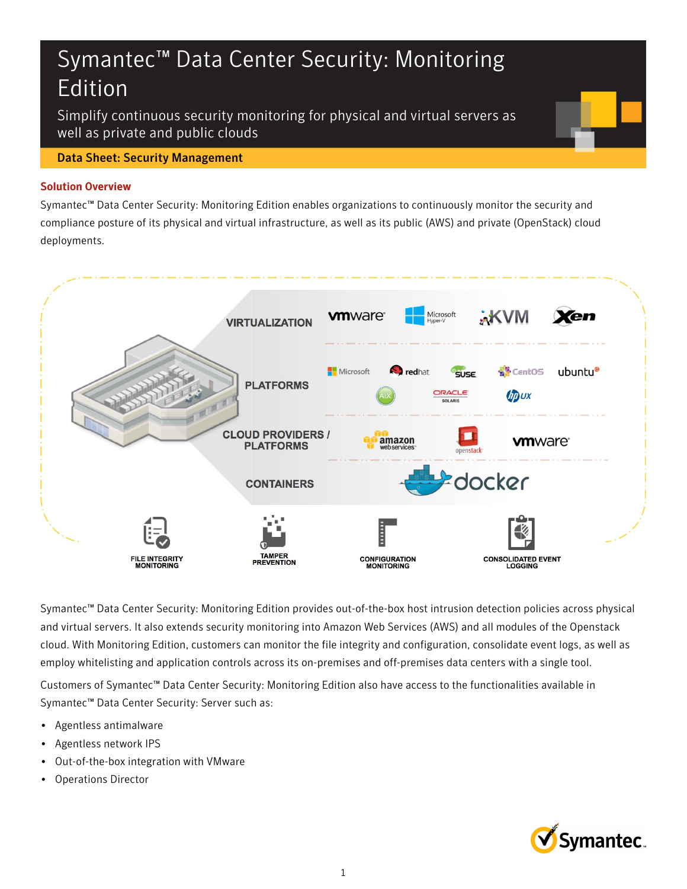# Symantec™ Data Center Security: Monitoring Edition

Simplify continuous security monitoring for physical and virtual servers as well as private and public clouds

## Data Sheet: Security Management

## Solution Overview

Symantec™ Data Center Security: Monitoring Edition enables organizations to continuously monitor the security and compliance posture of its physical and virtual infrastructure, as well as its public (AWS) and private (OpenStack) cloud deployments.



Symantec™ Data Center Security: Monitoring Edition provides out-of-the-box host intrusion detection policies across physical and virtual servers. It also extends security monitoring into Amazon Web Services (AWS) and all modules of the Openstack cloud. With Monitoring Edition, customers can monitor the file integrity and configuration, consolidate event logs, as well as employ whitelisting and application controls across its on-premises and off-premises data centers with a single tool.

Customers of Symantec™ Data Center Security: Monitoring Edition also have access to the functionalities available in Symantec™ Data Center Security: Server such as:

- Agentless antimalware
- Agentless network IPS
- Out-of-the-box integration with VMware
- Operations Director

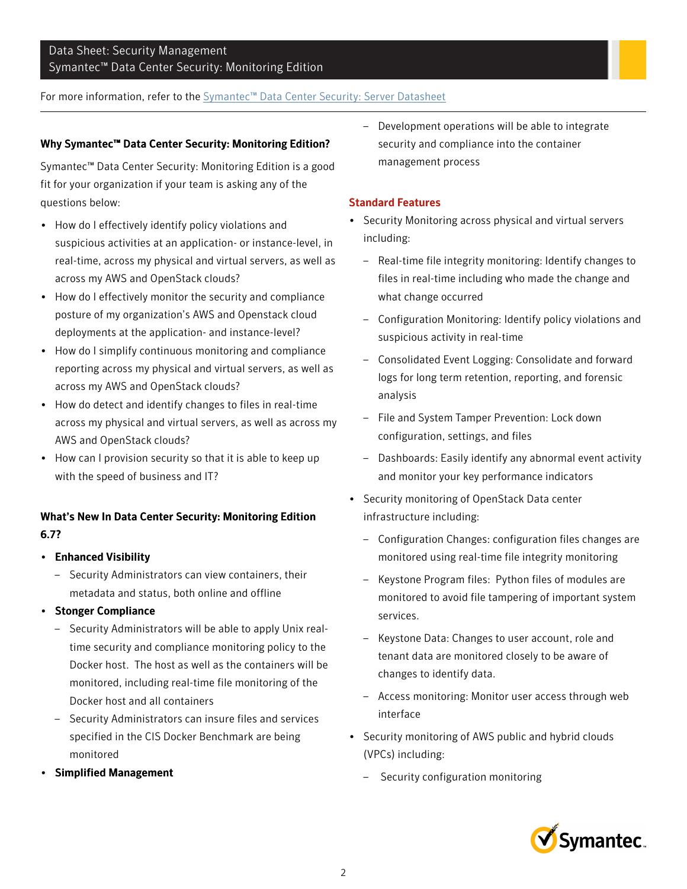# Data Sheet: Security Management Symantec™ Data Center Security: Monitoring Edition

## For more information, refer to the [Symantec™ Data Center Security: Server Datasheet](https://www.symantec.com/data-center-security/)

### Why Symantec™ Data Center Security: Monitoring Edition?

Symantec™ Data Center Security: Monitoring Edition is a good fit for your organization if your team is asking any of the questions below:

- How do I effectively identify policy violations and suspicious activities at an application- or instance-level, in real-time, across my physical and virtual servers, as well as across my AWS and OpenStack clouds?
- How do I effectively monitor the security and compliance posture of my organization's AWS and Openstack cloud deployments at the application- and instance-level?
- How do I simplify continuous monitoring and compliance reporting across my physical and virtual servers, as well as across my AWS and OpenStack clouds?
- How do detect and identify changes to files in real-time across my physical and virtual servers, as well as across my AWS and OpenStack clouds?
- How can I provision security so that it is able to keep up with the speed of business and IT?

# What's New In Data Center Security: Monitoring Edition 6.7?

- Enhanced Visibility
	- Security Administrators can view containers, their metadata and status, both online and offline
- Stonger Compliance
	- Security Administrators will be able to apply Unix realtime security and compliance monitoring policy to the Docker host. The host as well as the containers will be monitored, including real-time file monitoring of the Docker host and all containers
	- Security Administrators can insure files and services specified in the CIS Docker Benchmark are being monitored
- Simplified Management

– Development operations will be able to integrate security and compliance into the container management process

#### Standard Features

- Security Monitoring across physical and virtual servers including:
	- Real-time file integrity monitoring: Identify changes to files in real-time including who made the change and what change occurred
	- Configuration Monitoring: Identify policy violations and suspicious activity in real-time
	- Consolidated Event Logging: Consolidate and forward logs for long term retention, reporting, and forensic analysis
	- File and System Tamper Prevention: Lock down configuration, settings, and files
	- Dashboards: Easily identify any abnormal event activity and monitor your key performance indicators
- Security monitoring of OpenStack Data center infrastructure including:
	- Configuration Changes: configuration files changes are monitored using real-time file integrity monitoring
	- Keystone Program files: Python files of modules are monitored to avoid file tampering of important system services.
	- Keystone Data: Changes to user account, role and tenant data are monitored closely to be aware of changes to identify data.
	- Access monitoring: Monitor user access through web interface
- Security monitoring of AWS public and hybrid clouds (VPCs) including:
	- Security configuration monitoring

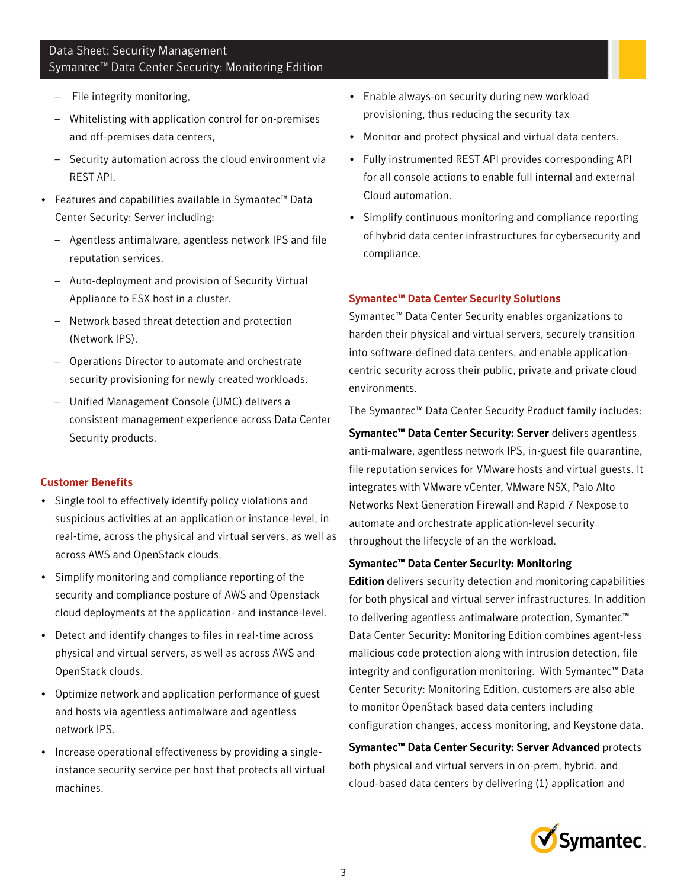# Data Sheet: Security Management Symantec™ Data Center Security: Monitoring Edition

- File integrity monitoring,
- Whitelisting with application control for on-premises and off-premises data centers,
- Security automation across the cloud environment via REST API.
- Features and capabilities available in Symantec™ Data Center Security: Server including:
	- Agentless antimalware, agentless network IPS and file reputation services.
	- Auto-deployment and provision of Security Virtual Appliance to ESX host in a cluster.
	- Network based threat detection and protection (Network IPS).
	- Operations Director to automate and orchestrate security provisioning for newly created workloads.
	- Unified Management Console (UMC) delivers a consistent management experience across Data Center Security products.

#### Customer Benefits

- Single tool to effectively identify policy violations and suspicious activities at an application or instance-level, in real-time, across the physical and virtual servers, as well as across AWS and OpenStack clouds.
- Simplify monitoring and compliance reporting of the security and compliance posture of AWS and Openstack cloud deployments at the application- and instance-level.
- Detect and identify changes to files in real-time across physical and virtual servers, as well as across AWS and OpenStack clouds.
- Optimize network and application performance of guest and hosts via agentless antimalware and agentless network IPS.
- Increase operational effectiveness by providing a singleinstance security service per host that protects all virtual machines.
- Enable always-on security during new workload provisioning, thus reducing the security tax
- Monitor and protect physical and virtual data centers.
- Fully instrumented REST API provides corresponding API for all console actions to enable full internal and external Cloud automation.
- Simplify continuous monitoring and compliance reporting of hybrid data center infrastructures for cybersecurity and compliance.

#### Symantec™ Data Center Security Solutions

Symantec™ Data Center Security enables organizations to harden their physical and virtual servers, securely transition into software-defined data centers, and enable applicationcentric security across their public, private and private cloud environments.

The Symantec™ Data Center Security Product family includes:

Symantec™ Data Center Security: Server delivers agentless anti-malware, agentless network IPS, in-guest file quarantine, file reputation services for VMware hosts and virtual guests. It integrates with VMware vCenter, VMware NSX, Palo Alto Networks Next Generation Firewall and Rapid 7 Nexpose to automate and orchestrate application-level security throughout the lifecycle of an the workload.

#### Symantec™ Data Center Security: Monitoring

Edition delivers security detection and monitoring capabilities for both physical and virtual server infrastructures. In addition to delivering agentless antimalware protection, Symantec™ Data Center Security: Monitoring Edition combines agent-less malicious code protection along with intrusion detection, file integrity and configuration monitoring. With Symantec™ Data Center Security: Monitoring Edition, customers are also able to monitor OpenStack based data centers including configuration changes, access monitoring, and Keystone data.

Symantec™ Data Center Security: Server Advanced protects both physical and virtual servers in on-prem, hybrid, and cloud-based data centers by delivering (1) application and